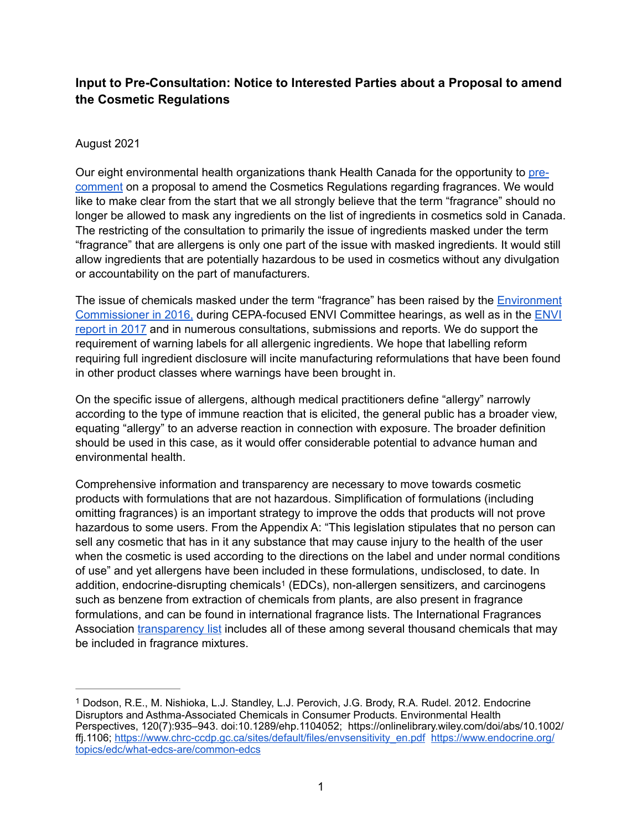# **Input to Pre-Consultation: Notice to Interested Parties about a Proposal to amend the Cosmetic Regulations**

### August 2021

Our eight environmental health organizations thank Health Canada for the opportunity to [pre](https://www.canada.ca/en/health-canada/programs/pre-consultation-notice-proposal-amend-cosmetic-regulations.html)[comment](https://www.canada.ca/en/health-canada/programs/pre-consultation-notice-proposal-amend-cosmetic-regulations.html) on a proposal to amend the Cosmetics Regulations regarding fragrances. We would like to make clear from the start that we all strongly believe that the term "fragrance" should no longer be allowed to mask any ingredients on the list of ingredients in cosmetics sold in Canada. The restricting of the consultation to primarily the issue of ingredients masked under the term "fragrance" that are allergens is only one part of the issue with masked ingredients. It would still allow ingredients that are potentially hazardous to be used in cosmetics without any divulgation or accountability on the part of manufacturers.

The issue of chemicals masked under the term "fragrance" has been raised by th[e Environment](https://www.oag-bvg.gc.ca/internet/English/parl_cesd_201605_03_e_41382.html)  [Commissioner in 2016,](https://www.oag-bvg.gc.ca/internet/English/parl_cesd_201605_03_e_41382.html) during CEPA-focused ENVI Committee hearings, as well as in th[e ENVI](https://www.ourcommons.ca/DocumentViewer/en/42-1/envi/report-8/page-5)  [report in 2017](https://www.ourcommons.ca/DocumentViewer/en/42-1/envi/report-8/page-5) and in numerous consultations, submissions and reports. We do support the requirement of warning labels for all allergenic ingredients. We hope that labelling reform requiring full ingredient disclosure will incite manufacturing reformulations that have been found in other product classes where warnings have been brought in.

On the specific issue of allergens, although medical practitioners define "allergy" narrowly according to the type of immune reaction that is elicited, the general public has a broader view, equating "allergy" to an adverse reaction in connection with exposure. The broader definition should be used in this case, as it would offer considerable potential to advance human and environmental health.

<span id="page-0-1"></span>Comprehensive information and transparency are necessary to move towards cosmetic products with formulations that are not hazardous. Simplification of formulations (including omitting fragrances) is an important strategy to improve the odds that products will not prove hazardous to some users. From the Appendix A: "This legislation stipulates that no person can sell any cosmetic that has in it any substance that may cause injury to the health of the user when the cosmetic is used according to the directions on the label and under normal conditions of use" and yet allergens have been included in these formulations, undisclosed, to date. In addition, endocrine-di[s](#page-0-0)rupting chemicals<sup>[1](#page-0-0)</sup> (EDCs), non-allergen sensitizers, and carcinogens such as benzene from extraction of chemicals from plants, are also present in fragrance formulations, and can be found in international fragrance lists. The International Fragrances Association [transparency list](https://ifrafragrance.org/priorities/ingredients/ifra-transparency-list) includes all of these among several thousand chemicals that may be included in fragrance mixtures.

<span id="page-0-0"></span>Dodson, R.E., M. Nishioka, L.J. Standley, L.J. Perovich, J.G. Brody, R.A. Rudel. 2012. Endocrine [1](#page-0-1) Disruptors and Asthma-Associated Chemicals in Consumer Products. Environmental Health Perspectives, 120(7):935–943. doi:10.1289/ehp.1104052; https://onlinelibrary.wiley.com/doi/abs/10.1002/ ffj.1106; [https://www.chrc-ccdp.gc.ca/sites/default/files/envsensitivity\\_en.pdf](https://www.chrc-ccdp.gc.ca/sites/default/files/envsensitivity_en.pdf) [https://www.endocrine.org/](https://www.endocrine.org/topics/edc/what-edcs-are/common-edcs) [topics/edc/what-edcs-are/common-edcs](https://www.endocrine.org/topics/edc/what-edcs-are/common-edcs)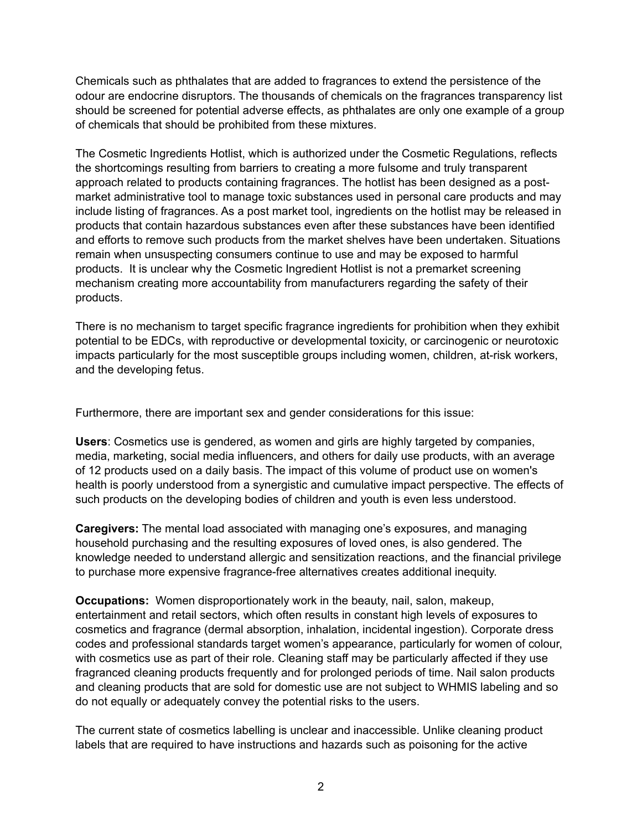Chemicals such as phthalates that are added to fragrances to extend the persistence of the odour are endocrine disruptors. The thousands of chemicals on the fragrances transparency list should be screened for potential adverse effects, as phthalates are only one example of a group of chemicals that should be prohibited from these mixtures.

The Cosmetic Ingredients Hotlist, which is authorized under the Cosmetic Regulations, reflects the shortcomings resulting from barriers to creating a more fulsome and truly transparent approach related to products containing fragrances. The hotlist has been designed as a postmarket administrative tool to manage toxic substances used in personal care products and may include listing of fragrances. As a post market tool, ingredients on the hotlist may be released in products that contain hazardous substances even after these substances have been identified and efforts to remove such products from the market shelves have been undertaken. Situations remain when unsuspecting consumers continue to use and may be exposed to harmful products. It is unclear why the Cosmetic Ingredient Hotlist is not a premarket screening mechanism creating more accountability from manufacturers regarding the safety of their products.

There is no mechanism to target specific fragrance ingredients for prohibition when they exhibit potential to be EDCs, with reproductive or developmental toxicity, or carcinogenic or neurotoxic impacts particularly for the most susceptible groups including women, children, at-risk workers, and the developing fetus.

Furthermore, there are important sex and gender considerations for this issue:

**Users**: Cosmetics use is gendered, as women and girls are highly targeted by companies, media, marketing, social media influencers, and others for daily use products, with an average of 12 products used on a daily basis. The impact of this volume of product use on women's health is poorly understood from a synergistic and cumulative impact perspective. The effects of such products on the developing bodies of children and youth is even less understood.

**Caregivers:** The mental load associated with managing one's exposures, and managing household purchasing and the resulting exposures of loved ones, is also gendered. The knowledge needed to understand allergic and sensitization reactions, and the financial privilege to purchase more expensive fragrance-free alternatives creates additional inequity.

**Occupations:** Women disproportionately work in the beauty, nail, salon, makeup, entertainment and retail sectors, which often results in constant high levels of exposures to cosmetics and fragrance (dermal absorption, inhalation, incidental ingestion). Corporate dress codes and professional standards target women's appearance, particularly for women of colour, with cosmetics use as part of their role. Cleaning staff may be particularly affected if they use fragranced cleaning products frequently and for prolonged periods of time. Nail salon products and cleaning products that are sold for domestic use are not subject to WHMIS labeling and so do not equally or adequately convey the potential risks to the users.

The current state of cosmetics labelling is unclear and inaccessible. Unlike cleaning product labels that are required to have instructions and hazards such as poisoning for the active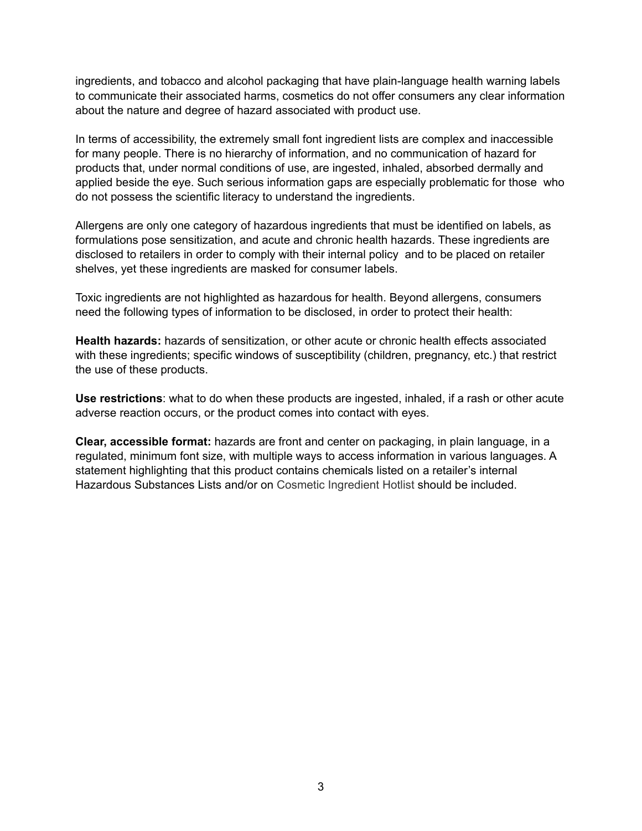ingredients, and tobacco and alcohol packaging that have plain-language health warning labels to communicate their associated harms, cosmetics do not offer consumers any clear information about the nature and degree of hazard associated with product use.

In terms of accessibility, the extremely small font ingredient lists are complex and inaccessible for many people. There is no hierarchy of information, and no communication of hazard for products that, under normal conditions of use, are ingested, inhaled, absorbed dermally and applied beside the eye. Such serious information gaps are especially problematic for those who do not possess the scientific literacy to understand the ingredients.

Allergens are only one category of hazardous ingredients that must be identified on labels, as formulations pose sensitization, and acute and chronic health hazards. These ingredients are disclosed to retailers in order to comply with their internal policy and to be placed on retailer shelves, yet these ingredients are masked for consumer labels.

Toxic ingredients are not highlighted as hazardous for health. Beyond allergens, consumers need the following types of information to be disclosed, in order to protect their health:

**Health hazards:** hazards of sensitization, or other acute or chronic health effects associated with these ingredients; specific windows of susceptibility (children, pregnancy, etc.) that restrict the use of these products.

**Use restrictions**: what to do when these products are ingested, inhaled, if a rash or other acute adverse reaction occurs, or the product comes into contact with eyes.

**Clear, accessible format:** hazards are front and center on packaging, in plain language, in a regulated, minimum font size, with multiple ways to access information in various languages. A statement highlighting that this product contains chemicals listed on a retailer's internal Hazardous Substances Lists and/or on Cosmetic Ingredient Hotlist should be included.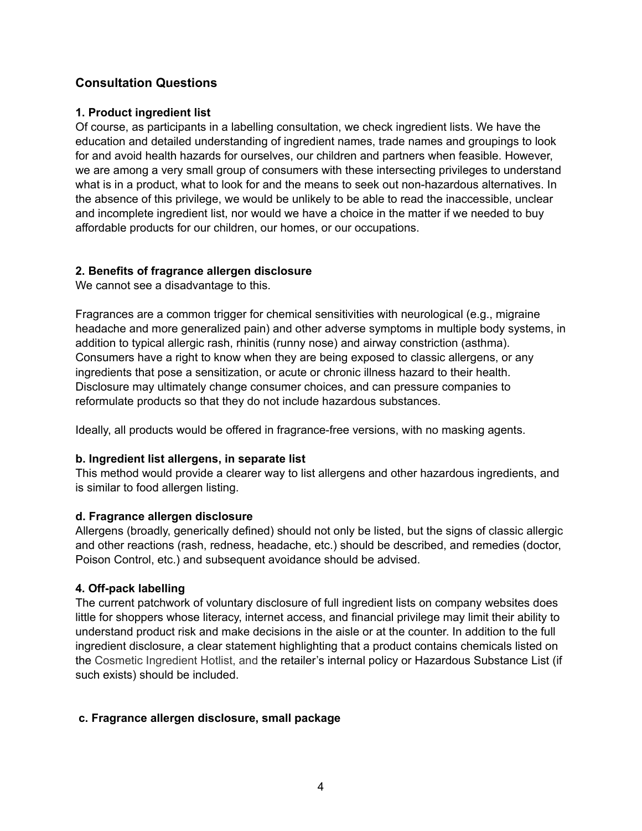# **Consultation Questions**

### **1. Product ingredient list**

Of course, as participants in a labelling consultation, we check ingredient lists. We have the education and detailed understanding of ingredient names, trade names and groupings to look for and avoid health hazards for ourselves, our children and partners when feasible. However, we are among a very small group of consumers with these intersecting privileges to understand what is in a product, what to look for and the means to seek out non-hazardous alternatives. In the absence of this privilege, we would be unlikely to be able to read the inaccessible, unclear and incomplete ingredient list, nor would we have a choice in the matter if we needed to buy affordable products for our children, our homes, or our occupations.

#### **2. Benefits of fragrance allergen disclosure**

We cannot see a disadvantage to this.

Fragrances are a common trigger for chemical sensitivities with neurological (e.g., migraine headache and more generalized pain) and other adverse symptoms in multiple body systems, in addition to typical allergic rash, rhinitis (runny nose) and airway constriction (asthma). Consumers have a right to know when they are being exposed to classic allergens, or any ingredients that pose a sensitization, or acute or chronic illness hazard to their health. Disclosure may ultimately change consumer choices, and can pressure companies to reformulate products so that they do not include hazardous substances.

Ideally, all products would be offered in fragrance-free versions, with no masking agents.

#### **b. Ingredient list allergens, in separate list**

This method would provide a clearer way to list allergens and other hazardous ingredients, and is similar to food allergen listing.

#### **d. Fragrance allergen disclosure**

Allergens (broadly, generically defined) should not only be listed, but the signs of classic allergic and other reactions (rash, redness, headache, etc.) should be described, and remedies (doctor, Poison Control, etc.) and subsequent avoidance should be advised.

## **4. Off-pack labelling**

The current patchwork of voluntary disclosure of full ingredient lists on company websites does little for shoppers whose literacy, internet access, and financial privilege may limit their ability to understand product risk and make decisions in the aisle or at the counter. In addition to the full ingredient disclosure, a clear statement highlighting that a product contains chemicals listed on the Cosmetic Ingredient Hotlist, and the retailer's internal policy or Hazardous Substance List (if such exists) should be included.

## **c. Fragrance allergen disclosure, small package**